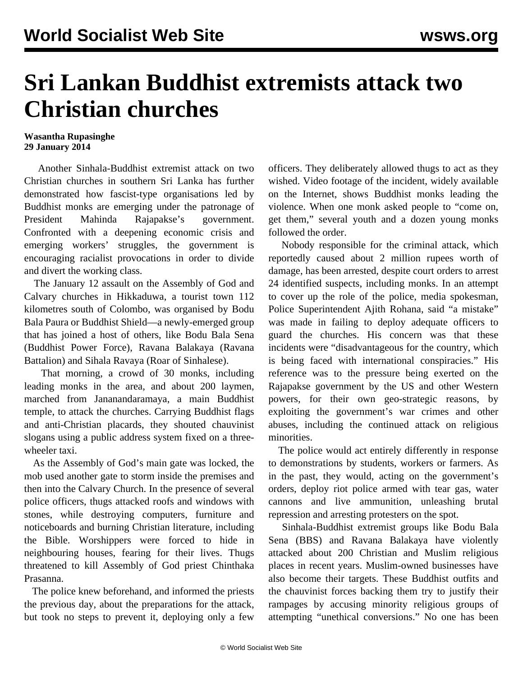## **Sri Lankan Buddhist extremists attack two Christian churches**

## **Wasantha Rupasinghe 29 January 2014**

 Another Sinhala-Buddhist extremist attack on two Christian churches in southern Sri Lanka has further demonstrated how fascist-type organisations led by Buddhist monks are emerging under the patronage of President Mahinda Rajapakse's government. Confronted with a deepening economic crisis and emerging workers' struggles, the government is encouraging racialist provocations in order to divide and divert the working class.

 The January 12 assault on the Assembly of God and Calvary churches in Hikkaduwa, a tourist town 112 kilometres south of Colombo, was organised by Bodu Bala Paura or Buddhist Shield—a newly-emerged group that has joined a host of others, like Bodu Bala Sena (Buddhist Power Force), Ravana Balakaya (Ravana Battalion) and Sihala Ravaya (Roar of Sinhalese).

 That morning, a crowd of 30 monks, including leading monks in the area, and about 200 laymen, marched from Jananandaramaya, a main Buddhist temple, to attack the churches. Carrying Buddhist flags and anti-Christian placards, they shouted chauvinist slogans using a public address system fixed on a threewheeler taxi.

 As the Assembly of God's main gate was locked, the mob used another gate to storm inside the premises and then into the Calvary Church. In the presence of several police officers, thugs attacked roofs and windows with stones, while destroying computers, furniture and noticeboards and burning Christian literature, including the Bible. Worshippers were forced to hide in neighbouring houses, fearing for their lives. Thugs threatened to kill Assembly of God priest Chinthaka Prasanna.

 The police knew beforehand, and informed the priests the previous day, about the preparations for the attack, but took no steps to prevent it, deploying only a few

officers. They deliberately allowed thugs to act as they wished. Video footage of the incident, widely available on the Internet, shows Buddhist monks leading the violence. When one monk asked people to "come on, get them," several youth and a dozen young monks followed the order.

 Nobody responsible for the criminal attack, which reportedly caused about 2 million rupees worth of damage, has been arrested, despite court orders to arrest 24 identified suspects, including monks. In an attempt to cover up the role of the police, media spokesman, Police Superintendent Ajith Rohana, said "a mistake" was made in failing to deploy adequate officers to guard the churches. His concern was that these incidents were "disadvantageous for the country, which is being faced with international conspiracies." His reference was to the pressure being exerted on the Rajapakse government by the US and other Western powers, for their own geo-strategic reasons, by exploiting the government's war crimes and other abuses, including the continued attack on religious minorities.

 The police would act entirely differently in response to demonstrations by students, workers or farmers. As in the past, they would, acting on the government's orders, deploy riot police armed with tear gas, water cannons and live ammunition, unleashing brutal repression and arresting protesters on the spot.

 Sinhala-Buddhist extremist groups like Bodu Bala Sena (BBS) and Ravana Balakaya have violently attacked about 200 Christian and Muslim religious places in recent years. Muslim-owned businesses have also become their targets. These Buddhist outfits and the chauvinist forces backing them try to justify their rampages by accusing minority religious groups of attempting "unethical conversions." No one has been